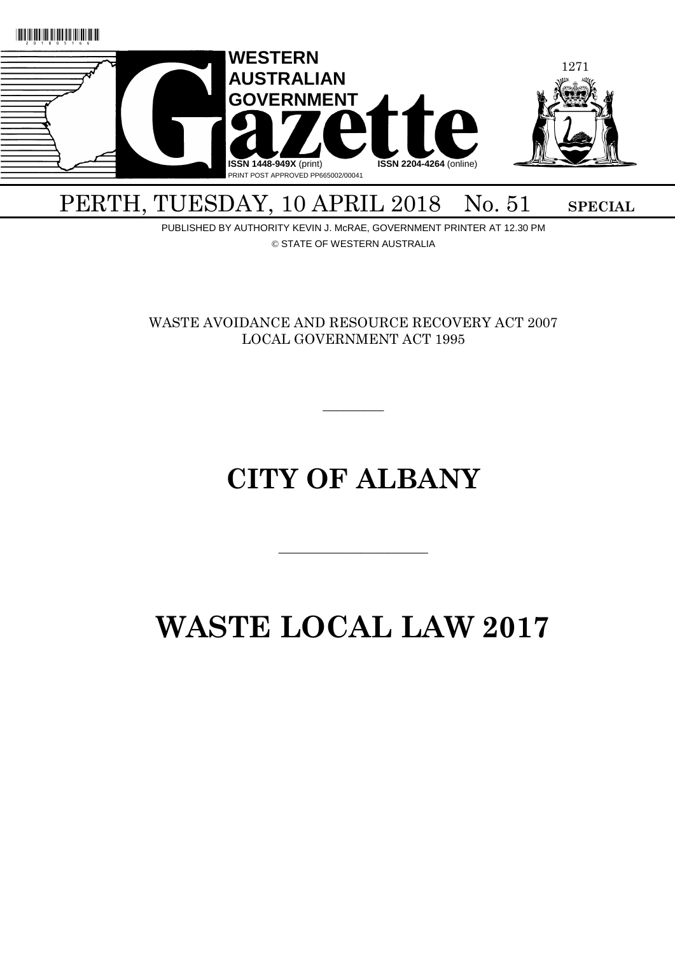

### PERTH, TUESDAY, 10 APRIL 2018 No. 51 SPECIAL

PUBLISHED BY AUTHORITY KEVIN J. McRAE, GOVERNMENT PRINTER AT 12.30 PM © STATE OF WESTERN AUSTRALIA

WASTE AVOIDANCE AND RESOURCE RECOVERY ACT 2007 LOCAL GOVERNMENT ACT 1995

 $\overline{\phantom{a}}$ 

## **CITY OF ALBANY**

# **WASTE LOCAL LAW 2017**

 $\overline{\phantom{a}}$  , and the contract of the contract of the contract of the contract of the contract of the contract of the contract of the contract of the contract of the contract of the contract of the contract of the contrac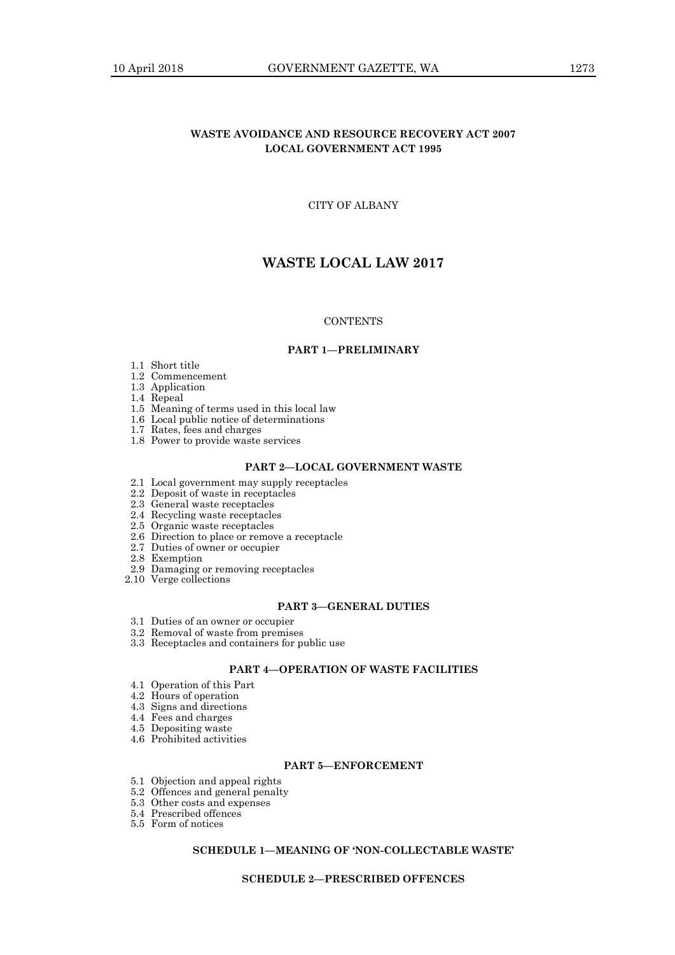#### **WASTE AVOIDANCE AND RESOURCE RECOVERY ACT 2007 LOCAL GOVERNMENT ACT 1995**

CITY OF ALBANY

### **WASTE LOCAL LAW 2017**

#### **CONTENTS**

#### **PART 1—PRELIMINARY**

- 1.1 Short title
- 1.2 Commencement
- 1.3 Application
- 1.4 Repeal
- 1.5 Meaning of terms used in this local law
- 1.6 Local public notice of determinations
- 1.7 Rates, fees and charges
- 1.8 Power to provide waste services

#### **PART 2—LOCAL GOVERNMENT WASTE**

- 2.1 Local government may supply receptacles
- 2.2 Deposit of waste in receptacles
- 2.3 General waste receptacles
- 2.4 Recycling waste receptacles
- 2.5 Organic waste receptacles
- 2.6 Direction to place or remove a receptacle
- 2.7 Duties of owner or occupier
- 2.8 Exemption
- 2.9 Damaging or removing receptacles
- 2.10 Verge collections

#### **PART 3—GENERAL DUTIES**

- 3.1 Duties of an owner or occupier
- 3.2 Removal of waste from premises
- 3.3 Receptacles and containers for public use

#### **PART 4—OPERATION OF WASTE FACILITIES**

- 4.1 Operation of this Part
- 4.2 Hours of operation
- 4.3 Signs and directions
- 4.4 Fees and charges
- 4.5 Depositing waste
- 4.6 Prohibited activities

#### **PART 5—ENFORCEMENT**

- 5.1 Objection and appeal rights
- 5.2 Offences and general penalty
- 5.3 Other costs and expenses
- 5.4 Prescribed offences
- 5.5 Form of notices

#### **SCHEDULE 1—MEANING OF 'NON-COLLECTABLE WASTE'**

#### **SCHEDULE 2—PRESCRIBED OFFENCES**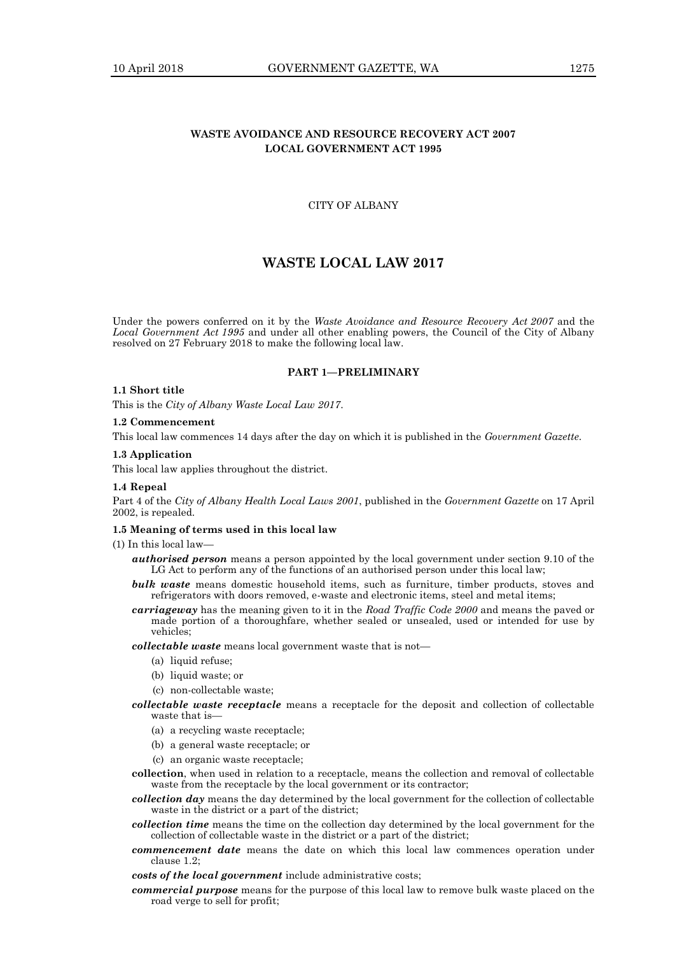#### **WASTE AVOIDANCE AND RESOURCE RECOVERY ACT 2007 LOCAL GOVERNMENT ACT 1995**

#### CITY OF ALBANY

#### **WASTE LOCAL LAW 2017**

Under the powers conferred on it by the *Waste Avoidance and Resource Recovery Act 2007* and the *Local Government Act 1995* and under all other enabling powers, the Council of the City of Albany resolved on 27 February 2018 to make the following local law.

#### **PART 1—PRELIMINARY**

#### **1.1 Short title**

This is the *City of Albany Waste Local Law 2017*.

#### **1.2 Commencement**

This local law commences 14 days after the day on which it is published in the *Government Gazette*.

#### **1.3 Application**

This local law applies throughout the district.

#### **1.4 Repeal**

Part 4 of the *City of Albany Health Local Laws 2001*, published in the *Government Gazette* on 17 April 2002, is repealed.

#### **1.5 Meaning of terms used in this local law**

(1) In this local law—

- *authorised person* means a person appointed by the local government under section 9.10 of the LG Act to perform any of the functions of an authorised person under this local law;
- *bulk waste* means domestic household items, such as furniture, timber products, stoves and refrigerators with doors removed, e-waste and electronic items, steel and metal items;
- *carriageway* has the meaning given to it in the *Road Traffic Code 2000* and means the paved or made portion of a thoroughfare, whether sealed or unsealed, used or intended for use by vehicles;

*collectable waste* means local government waste that is not—

- (a) liquid refuse;
- (b) liquid waste; or
- (c) non-collectable waste;
- *collectable waste receptacle* means a receptacle for the deposit and collection of collectable waste that is—
	- (a) a recycling waste receptacle;
	- (b) a general waste receptacle; or
	- (c) an organic waste receptacle;
- **collection**, when used in relation to a receptacle, means the collection and removal of collectable waste from the receptacle by the local government or its contractor;
- *collection day* means the day determined by the local government for the collection of collectable waste in the district or a part of the district;
- *collection time* means the time on the collection day determined by the local government for the collection of collectable waste in the district or a part of the district;
- *commencement date* means the date on which this local law commences operation under clause 1.2;
- *costs of the local government* include administrative costs;
- *commercial purpose* means for the purpose of this local law to remove bulk waste placed on the road verge to sell for profit;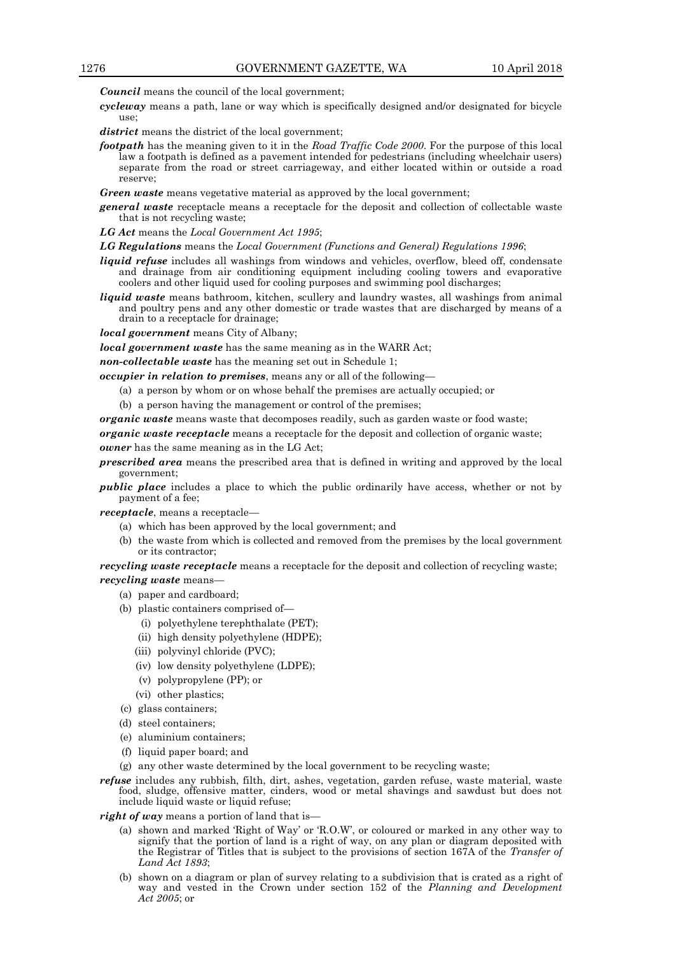*Council* means the council of the local government;

*cycleway* means a path, lane or way which is specifically designed and/or designated for bicycle use;

district means the district of the local government;

- *footpath* has the meaning given to it in the *Road Traffic Code 2000*. For the purpose of this local law a footpath is defined as a pavement intended for pedestrians (including wheelchair users) separate from the road or street carriageway, and either located within or outside a road reserve;
- *Green waste* means vegetative material as approved by the local government;
- *general waste* receptacle means a receptacle for the deposit and collection of collectable waste that is not recycling waste;

*LG Act* means the *Local Government Act 1995*;

*LG Regulations* means the *Local Government (Functions and General) Regulations 1996*;

- *liquid refuse* includes all washings from windows and vehicles, overflow, bleed off, condensate and drainage from air conditioning equipment including cooling towers and evaporative coolers and other liquid used for cooling purposes and swimming pool discharges;
- *liquid waste* means bathroom, kitchen, scullery and laundry wastes, all washings from animal and poultry pens and any other domestic or trade wastes that are discharged by means of a drain to a receptacle for drainage;

*local government* means City of Albany;

*local government waste* has the same meaning as in the WARR Act;

*non-collectable waste* has the meaning set out in Schedule 1;

*occupier in relation to premises*, means any or all of the following—

- (a) a person by whom or on whose behalf the premises are actually occupied; or
- (b) a person having the management or control of the premises;

*organic waste* means waste that decomposes readily, such as garden waste or food waste;

*organic waste receptacle* means a receptacle for the deposit and collection of organic waste; *owner* has the same meaning as in the LG Act;

- *prescribed area* means the prescribed area that is defined in writing and approved by the local
- *public place* includes a place to which the public ordinarily have access, whether or not by payment of a fee;

*receptacle*, means a receptacle—

government;

- (a) which has been approved by the local government; and
- (b) the waste from which is collected and removed from the premises by the local government or its contractor;

*recycling waste receptacle* means a receptacle for the deposit and collection of recycling waste; *recycling waste* means—

- (a) paper and cardboard;
- (b) plastic containers comprised of—
	- (i) polyethylene terephthalate (PET);
	- (ii) high density polyethylene (HDPE);
	- (iii) polyvinyl chloride (PVC);
	- (iv) low density polyethylene (LDPE);
	- (v) polypropylene (PP); or
	- (vi) other plastics;
- (c) glass containers;
- (d) steel containers;
- (e) aluminium containers;
- (f) liquid paper board; and
- (g) any other waste determined by the local government to be recycling waste;
- *refuse* includes any rubbish, filth, dirt, ashes, vegetation, garden refuse, waste material, waste food, sludge, offensive matter, cinders, wood or metal shavings and sawdust but does not include liquid waste or liquid refuse;
- *right of way* means a portion of land that is—
	- (a) shown and marked 'Right of Way' or 'R.O.W', or coloured or marked in any other way to signify that the portion of land is a right of way, on any plan or diagram deposited with the Registrar of Titles that is subject to the provisions of section 167A of the *Transfer of Land Act 1893*;
	- (b) shown on a diagram or plan of survey relating to a subdivision that is crated as a right of way and vested in the Crown under section 152 of the *Planning and Development Act 2005*; or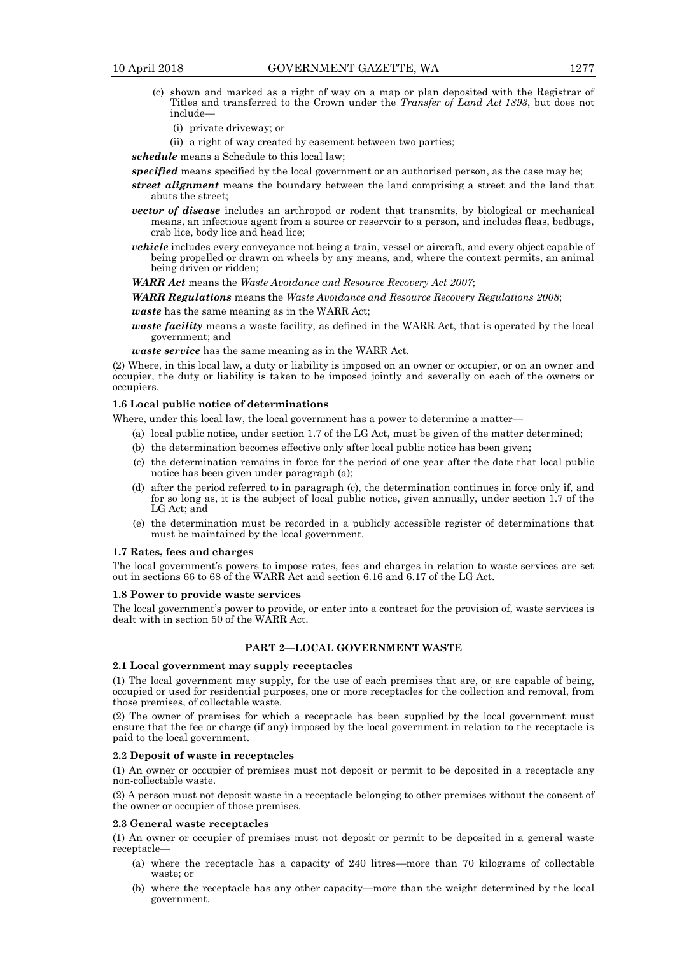- (c) shown and marked as a right of way on a map or plan deposited with the Registrar of Titles and transferred to the Crown under the *Transfer of Land Act 1893*, but does not include—
	- (i) private driveway; or
	- (ii) a right of way created by easement between two parties;

*schedule* means a Schedule to this local law;

*specified* means specified by the local government or an authorised person, as the case may be;

- *street alignment* means the boundary between the land comprising a street and the land that abuts the street;
- *vector of disease* includes an arthropod or rodent that transmits, by biological or mechanical means, an infectious agent from a source or reservoir to a person, and includes fleas, bedbugs, crab lice, body lice and head lice;
- *vehicle* includes every conveyance not being a train, vessel or aircraft, and every object capable of being propelled or drawn on wheels by any means, and, where the context permits, an animal being driven or ridden;

*WARR Act* means the *Waste Avoidance and Resource Recovery Act 2007*;

*WARR Regulations* means the *Waste Avoidance and Resource Recovery Regulations 2008*;

*waste* has the same meaning as in the WARR Act;

*waste facility* means a waste facility, as defined in the WARR Act, that is operated by the local government; and

*waste service* has the same meaning as in the WARR Act.

(2) Where, in this local law, a duty or liability is imposed on an owner or occupier, or on an owner and occupier, the duty or liability is taken to be imposed jointly and severally on each of the owners or occupiers.

#### **1.6 Local public notice of determinations**

Where, under this local law, the local government has a power to determine a matter-

- (a) local public notice, under section 1.7 of the LG Act, must be given of the matter determined;
- (b) the determination becomes effective only after local public notice has been given;
- (c) the determination remains in force for the period of one year after the date that local public notice has been given under paragraph (a);
- (d) after the period referred to in paragraph (c), the determination continues in force only if, and for so long as, it is the subject of local public notice, given annually, under section 1.7 of the LG Act; and
- (e) the determination must be recorded in a publicly accessible register of determinations that must be maintained by the local government.

#### **1.7 Rates, fees and charges**

The local government's powers to impose rates, fees and charges in relation to waste services are set out in sections 66 to 68 of the WARR Act and section 6.16 and 6.17 of the LG Act.

#### **1.8 Power to provide waste services**

The local government's power to provide, or enter into a contract for the provision of, waste services is dealt with in section 50 of the WARR Act.

#### **PART 2—LOCAL GOVERNMENT WASTE**

#### **2.1 Local government may supply receptacles**

(1) The local government may supply, for the use of each premises that are, or are capable of being, occupied or used for residential purposes, one or more receptacles for the collection and removal, from those premises, of collectable waste.

(2) The owner of premises for which a receptacle has been supplied by the local government must ensure that the fee or charge (if any) imposed by the local government in relation to the receptacle is paid to the local government.

#### **2.2 Deposit of waste in receptacles**

(1) An owner or occupier of premises must not deposit or permit to be deposited in a receptacle any non-collectable waste.

(2) A person must not deposit waste in a receptacle belonging to other premises without the consent of the owner or occupier of those premises.

#### **2.3 General waste receptacles**

(1) An owner or occupier of premises must not deposit or permit to be deposited in a general waste receptacle—

- (a) where the receptacle has a capacity of 240 litres—more than 70 kilograms of collectable waste; or
- (b) where the receptacle has any other capacity—more than the weight determined by the local government.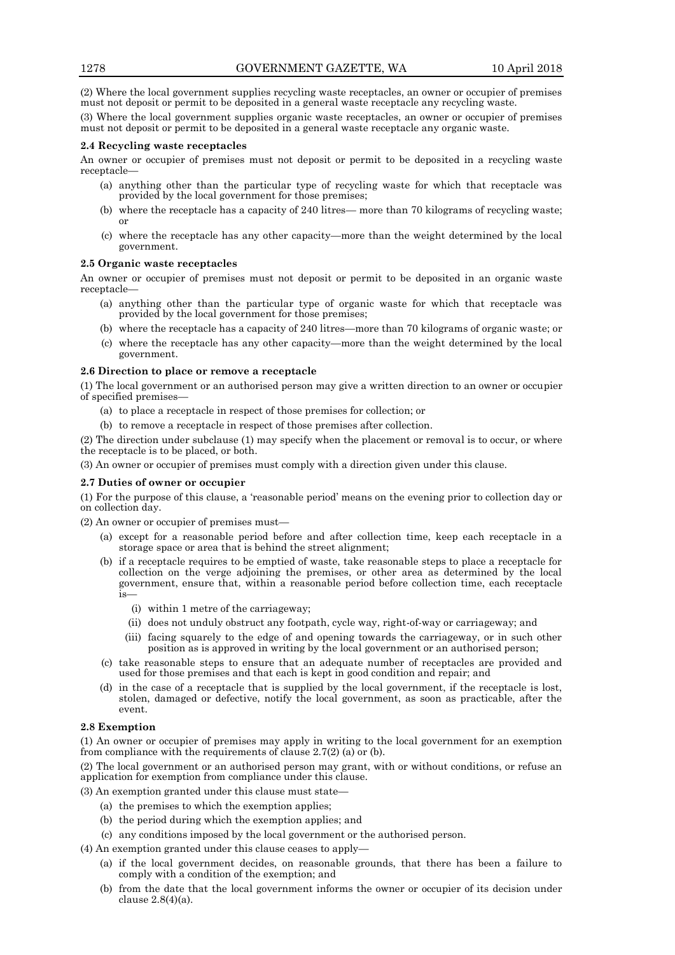(2) Where the local government supplies recycling waste receptacles, an owner or occupier of premises must not deposit or permit to be deposited in a general waste receptacle any recycling waste.

(3) Where the local government supplies organic waste receptacles, an owner or occupier of premises must not deposit or permit to be deposited in a general waste receptacle any organic waste.

#### **2.4 Recycling waste receptacles**

An owner or occupier of premises must not deposit or permit to be deposited in a recycling waste receptacle—

- (a) anything other than the particular type of recycling waste for which that receptacle was provided by the local government for those premises;
- (b) where the receptacle has a capacity of 240 litres— more than 70 kilograms of recycling waste; or
- (c) where the receptacle has any other capacity—more than the weight determined by the local government.

#### **2.5 Organic waste receptacles**

An owner or occupier of premises must not deposit or permit to be deposited in an organic waste receptacle—

- (a) anything other than the particular type of organic waste for which that receptacle was provided by the local government for those premises;
- (b) where the receptacle has a capacity of 240 litres—more than 70 kilograms of organic waste; or
- (c) where the receptacle has any other capacity—more than the weight determined by the local government.

#### **2.6 Direction to place or remove a receptacle**

(1) The local government or an authorised person may give a written direction to an owner or occupier of specified premises—

- (a) to place a receptacle in respect of those premises for collection; or
- (b) to remove a receptacle in respect of those premises after collection.

(2) The direction under subclause (1) may specify when the placement or removal is to occur, or where the receptacle is to be placed, or both.

(3) An owner or occupier of premises must comply with a direction given under this clause.

#### **2.7 Duties of owner or occupier**

(1) For the purpose of this clause, a 'reasonable period' means on the evening prior to collection day or on collection day.

(2) An owner or occupier of premises must—

- (a) except for a reasonable period before and after collection time, keep each receptacle in a storage space or area that is behind the street alignment;
- (b) if a receptacle requires to be emptied of waste, take reasonable steps to place a receptacle for collection on the verge adjoining the premises, or other area as determined by the local government, ensure that, within a reasonable period before collection time, each receptacle is—
	- (i) within 1 metre of the carriageway;
	- (ii) does not unduly obstruct any footpath, cycle way, right-of-way or carriageway; and
	- (iii) facing squarely to the edge of and opening towards the carriageway, or in such other position as is approved in writing by the local government or an authorised person;
- (c) take reasonable steps to ensure that an adequate number of receptacles are provided and used for those premises and that each is kept in good condition and repair; and
- (d) in the case of a receptacle that is supplied by the local government, if the receptacle is lost, stolen, damaged or defective, notify the local government, as soon as practicable, after the event.

#### **2.8 Exemption**

(1) An owner or occupier of premises may apply in writing to the local government for an exemption from compliance with the requirements of clause 2.7(2) (a) or (b).

(2) The local government or an authorised person may grant, with or without conditions, or refuse an application for exemption from compliance under this clause.

(3) An exemption granted under this clause must state—

- (a) the premises to which the exemption applies;
- (b) the period during which the exemption applies; and
- (c) any conditions imposed by the local government or the authorised person.
- (4) An exemption granted under this clause ceases to apply—
	- (a) if the local government decides, on reasonable grounds, that there has been a failure to comply with a condition of the exemption; and
	- (b) from the date that the local government informs the owner or occupier of its decision under clause 2.8(4)(a).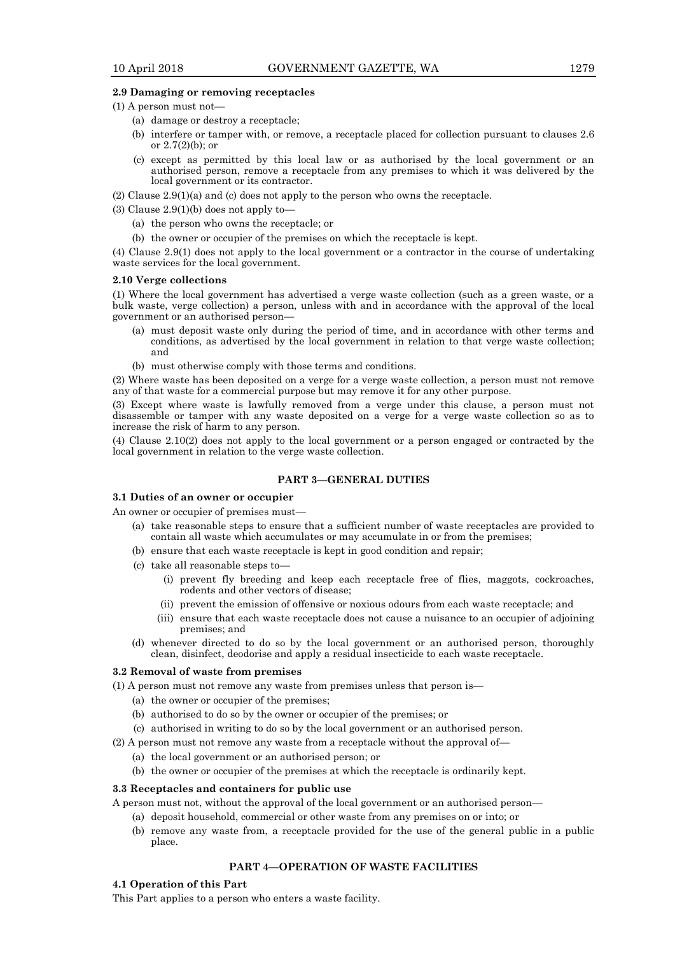#### **2.9 Damaging or removing receptacles**

- (1) A person must not—
	- (a) damage or destroy a receptacle;
	- (b) interfere or tamper with, or remove, a receptacle placed for collection pursuant to clauses 2.6 or 2.7(2)(b); or
	- (c) except as permitted by this local law or as authorised by the local government or an authorised person, remove a receptacle from any premises to which it was delivered by the local government or its contractor.
- (2) Clause 2.9(1)(a) and (c) does not apply to the person who owns the receptacle.
- (3) Clause  $2.9(1)(b)$  does not apply to-
	- (a) the person who owns the receptacle; or
	- (b) the owner or occupier of the premises on which the receptacle is kept.

(4) Clause 2.9(1) does not apply to the local government or a contractor in the course of undertaking waste services for the local government.

#### **2.10 Verge collections**

(1) Where the local government has advertised a verge waste collection (such as a green waste, or a bulk waste, verge collection) a person, unless with and in accordance with the approval of the local government or an authorised person—

- (a) must deposit waste only during the period of time, and in accordance with other terms and conditions, as advertised by the local government in relation to that verge waste collection; and
- (b) must otherwise comply with those terms and conditions.

(2) Where waste has been deposited on a verge for a verge waste collection, a person must not remove any of that waste for a commercial purpose but may remove it for any other purpose.

(3) Except where waste is lawfully removed from a verge under this clause, a person must not disassemble or tamper with any waste deposited on a verge for a verge waste collection so as to increase the risk of harm to any person.

(4) Clause 2.10(2) does not apply to the local government or a person engaged or contracted by the local government in relation to the verge waste collection.

#### **PART 3—GENERAL DUTIES**

#### **3.1 Duties of an owner or occupier**

An owner or occupier of premises must—

- (a) take reasonable steps to ensure that a sufficient number of waste receptacles are provided to contain all waste which accumulates or may accumulate in or from the premises;
- (b) ensure that each waste receptacle is kept in good condition and repair;
- (c) take all reasonable steps to—
	- (i) prevent fly breeding and keep each receptacle free of flies, maggots, cockroaches, rodents and other vectors of disease;
	- (ii) prevent the emission of offensive or noxious odours from each waste receptacle; and
	- (iii) ensure that each waste receptacle does not cause a nuisance to an occupier of adjoining premises; and
- (d) whenever directed to do so by the local government or an authorised person, thoroughly clean, disinfect, deodorise and apply a residual insecticide to each waste receptacle.

#### **3.2 Removal of waste from premises**

- (1) A person must not remove any waste from premises unless that person is—
	- (a) the owner or occupier of the premises;
	- (b) authorised to do so by the owner or occupier of the premises; or
	- (c) authorised in writing to do so by the local government or an authorised person.
- (2) A person must not remove any waste from a receptacle without the approval of—
	- (a) the local government or an authorised person; or
	- (b) the owner or occupier of the premises at which the receptacle is ordinarily kept.

#### **3.3 Receptacles and containers for public use**

A person must not, without the approval of the local government or an authorised person—

- (a) deposit household, commercial or other waste from any premises on or into; or
- (b) remove any waste from, a receptacle provided for the use of the general public in a public place.

#### **PART 4—OPERATION OF WASTE FACILITIES**

#### **4.1 Operation of this Part**

This Part applies to a person who enters a waste facility.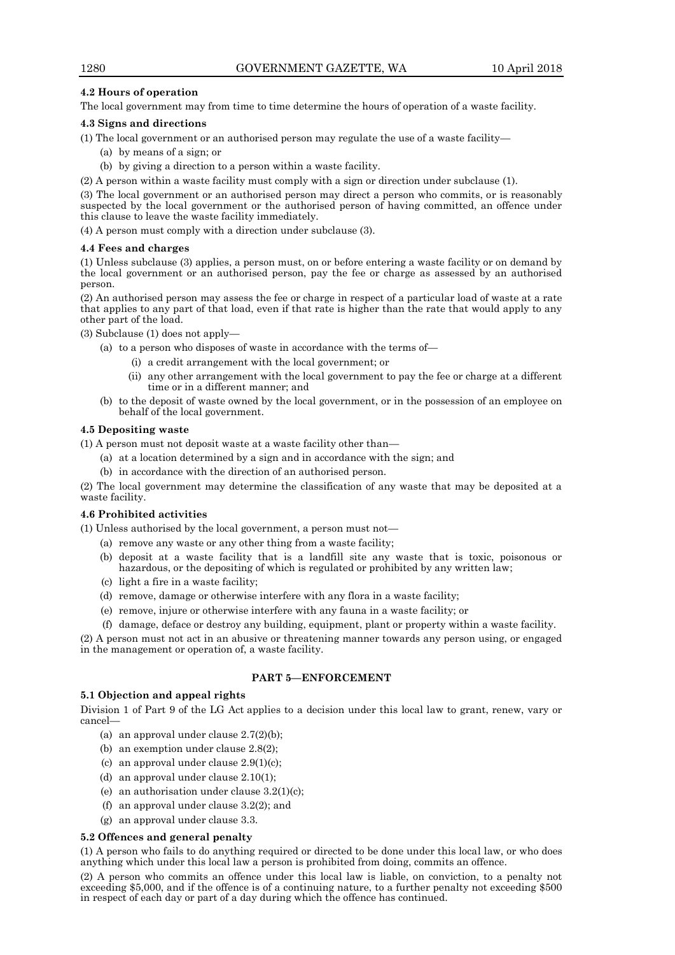#### **4.2 Hours of operation**

The local government may from time to time determine the hours of operation of a waste facility.

#### **4.3 Signs and directions**

- (1) The local government or an authorised person may regulate the use of a waste facility—
	- (a) by means of a sign; or
	- (b) by giving a direction to a person within a waste facility.
- (2) A person within a waste facility must comply with a sign or direction under subclause (1).

(3) The local government or an authorised person may direct a person who commits, or is reasonably suspected by the local government or the authorised person of having committed, an offence under this clause to leave the waste facility immediately.

(4) A person must comply with a direction under subclause (3).

#### **4.4 Fees and charges**

(1) Unless subclause (3) applies, a person must, on or before entering a waste facility or on demand by the local government or an authorised person, pay the fee or charge as assessed by an authorised person.

(2) An authorised person may assess the fee or charge in respect of a particular load of waste at a rate that applies to any part of that load, even if that rate is higher than the rate that would apply to any other part of the load.

(3) Subclause (1) does not apply—

- (a) to a person who disposes of waste in accordance with the terms of—
	- (i) a credit arrangement with the local government; or
	- (ii) any other arrangement with the local government to pay the fee or charge at a different time or in a different manner; and
- (b) to the deposit of waste owned by the local government, or in the possession of an employee on behalf of the local government.

#### **4.5 Depositing waste**

(1) A person must not deposit waste at a waste facility other than—

- (a) at a location determined by a sign and in accordance with the sign; and
- (b) in accordance with the direction of an authorised person.

(2) The local government may determine the classification of any waste that may be deposited at a waste facility.

#### **4.6 Prohibited activities**

(1) Unless authorised by the local government, a person must not—

- (a) remove any waste or any other thing from a waste facility;
- (b) deposit at a waste facility that is a landfill site any waste that is toxic, poisonous or hazardous, or the depositing of which is regulated or prohibited by any written law;
- (c) light a fire in a waste facility;
- (d) remove, damage or otherwise interfere with any flora in a waste facility;
- (e) remove, injure or otherwise interfere with any fauna in a waste facility; or
- (f) damage, deface or destroy any building, equipment, plant or property within a waste facility.

(2) A person must not act in an abusive or threatening manner towards any person using, or engaged in the management or operation of, a waste facility.

#### **PART 5—ENFORCEMENT**

#### **5.1 Objection and appeal rights**

Division 1 of Part 9 of the LG Act applies to a decision under this local law to grant, renew, vary or cancel—

- (a) an approval under clause  $2.7(2)(b)$ ;
- (b) an exemption under clause 2.8(2);
- (c) an approval under clause  $2.9(1)(c)$ ;
- (d) an approval under clause 2.10(1);
- (e) an authorisation under clause  $3.2(1)(c)$ ;
- (f) an approval under clause 3.2(2); and
- (g) an approval under clause 3.3.

#### **5.2 Offences and general penalty**

(1) A person who fails to do anything required or directed to be done under this local law, or who does anything which under this local law a person is prohibited from doing, commits an offence.

(2) A person who commits an offence under this local law is liable, on conviction, to a penalty not exceeding \$5,000, and if the offence is of a continuing nature, to a further penalty not exceeding \$500 in respect of each day or part of a day during which the offence has continued.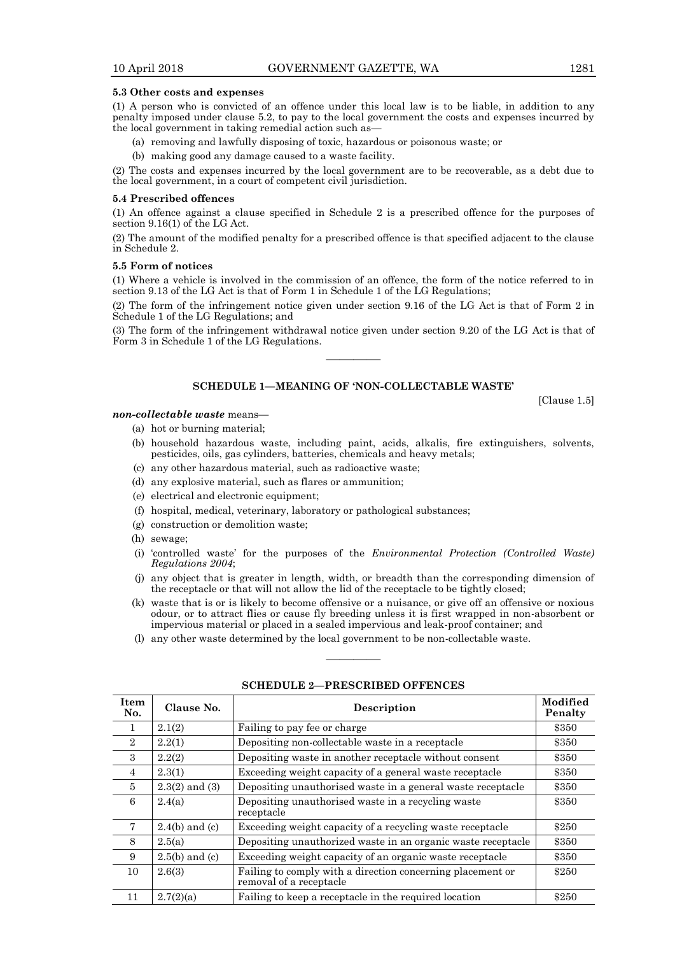#### **5.3 Other costs and expenses**

(1) A person who is convicted of an offence under this local law is to be liable, in addition to any penalty imposed under clause 5.2, to pay to the local government the costs and expenses incurred by the local government in taking remedial action such as—

- (a) removing and lawfully disposing of toxic, hazardous or poisonous waste; or
- (b) making good any damage caused to a waste facility.

(2) The costs and expenses incurred by the local government are to be recoverable, as a debt due to the local government, in a court of competent civil jurisdiction.

#### **5.4 Prescribed offences**

(1) An offence against a clause specified in Schedule 2 is a prescribed offence for the purposes of section 9.16(1) of the LG Act.

(2) The amount of the modified penalty for a prescribed offence is that specified adjacent to the clause in Schedule 2.

#### **5.5 Form of notices**

(1) Where a vehicle is involved in the commission of an offence, the form of the notice referred to in section 9.13 of the LG Act is that of Form 1 in Schedule 1 of the LG Regulations;

(2) The form of the infringement notice given under section 9.16 of the LG Act is that of Form 2 in Schedule 1 of the LG Regulations; and

(3) The form of the infringement withdrawal notice given under section 9.20 of the LG Act is that of Form 3 in Schedule 1 of the LG Regulations.

————

#### **SCHEDULE 1—MEANING OF 'NON-COLLECTABLE WASTE'**

[Clause 1.5]

#### *non-collectable waste* means—

- (a) hot or burning material;
- (b) household hazardous waste, including paint, acids, alkalis, fire extinguishers, solvents, pesticides, oils, gas cylinders, batteries, chemicals and heavy metals;
- (c) any other hazardous material, such as radioactive waste;
- (d) any explosive material, such as flares or ammunition;
- (e) electrical and electronic equipment;
- (f) hospital, medical, veterinary, laboratory or pathological substances;
- (g) construction or demolition waste;
- (h) sewage;
- (i) 'controlled waste' for the purposes of the *Environmental Protection (Controlled Waste) Regulations 2004*;
- (j) any object that is greater in length, width, or breadth than the corresponding dimension of the receptacle or that will not allow the lid of the receptacle to be tightly closed;
- (k) waste that is or is likely to become offensive or a nuisance, or give off an offensive or noxious odour, or to attract flies or cause fly breeding unless it is first wrapped in non-absorbent or impervious material or placed in a sealed impervious and leak-proof container; and
- (l) any other waste determined by the local government to be non-collectable waste.

| Item<br>No.    | Clause No.         | Description                                                                           | <b>Modified</b><br>Penalty |
|----------------|--------------------|---------------------------------------------------------------------------------------|----------------------------|
| 1              | 2.1(2)             | Failing to pay fee or charge                                                          | \$350                      |
| $\overline{2}$ | 2.2(1)             | Depositing non-collectable waste in a receptacle                                      | \$350                      |
| 3              | 2.2(2)             | Depositing waste in another receptacle without consent                                | \$350                      |
| $\overline{4}$ | 2.3(1)             | Exceeding weight capacity of a general waste receptacle                               | \$350                      |
| $\overline{5}$ | $2.3(2)$ and $(3)$ | Depositing unauthorised waste in a general waste receptacle                           | \$350                      |
| 6              | 2.4(a)             | Depositing unauthorised waste in a recycling waste<br>receptacle                      | \$350                      |
| 7              | $2.4(b)$ and (c)   | Exceeding weight capacity of a recycling waste receptacle                             | \$250                      |
| 8              | 2.5(a)             | Depositing unauthorized waste in an organic waste receptacle                          | \$350                      |
| 9              | $2.5(b)$ and (c)   | Exceeding weight capacity of an organic waste receptacle                              | \$350                      |
| 10             | 2.6(3)             | Failing to comply with a direction concerning placement or<br>removal of a receptacle | \$250                      |
| 11             | 2.7(2)(a)          | Failing to keep a receptacle in the required location                                 | \$250                      |

**SCHEDULE 2—PRESCRIBED OFFENCES**

————